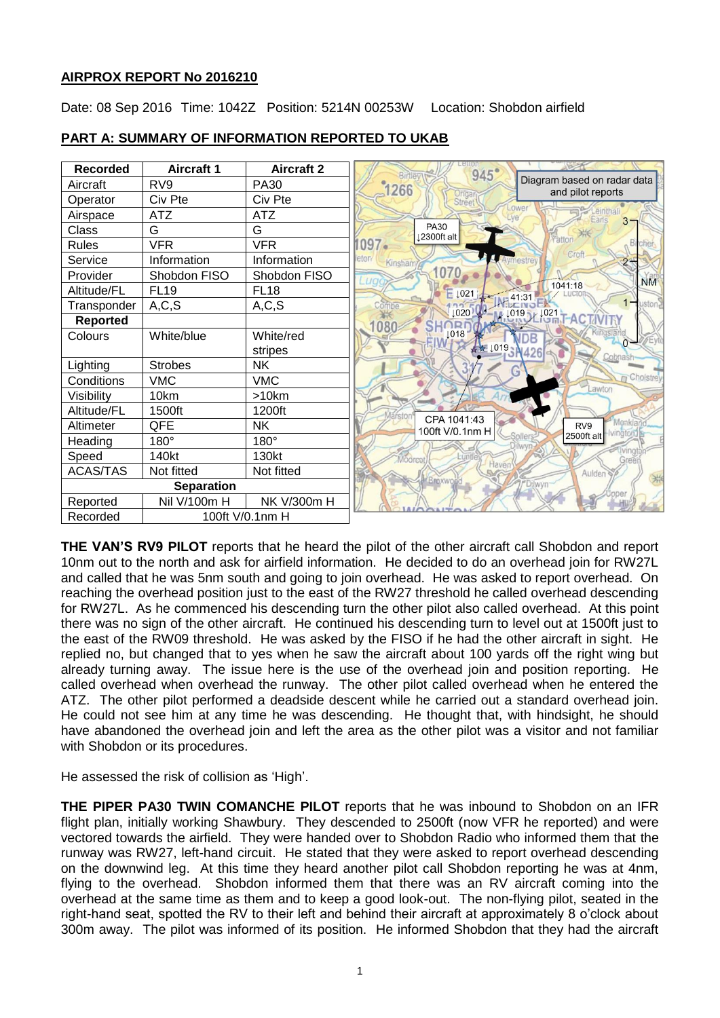# **AIRPROX REPORT No 2016210**

Date: 08 Sep 2016 Time: 1042Z Position: 5214N 00253W Location: Shobdon airfield



# **PART A: SUMMARY OF INFORMATION REPORTED TO UKAB**

**THE VAN'S RV9 PILOT** reports that he heard the pilot of the other aircraft call Shobdon and report 10nm out to the north and ask for airfield information. He decided to do an overhead join for RW27L and called that he was 5nm south and going to join overhead. He was asked to report overhead. On reaching the overhead position just to the east of the RW27 threshold he called overhead descending for RW27L. As he commenced his descending turn the other pilot also called overhead. At this point there was no sign of the other aircraft. He continued his descending turn to level out at 1500ft just to the east of the RW09 threshold. He was asked by the FISO if he had the other aircraft in sight. He replied no, but changed that to yes when he saw the aircraft about 100 yards off the right wing but already turning away. The issue here is the use of the overhead join and position reporting. He called overhead when overhead the runway. The other pilot called overhead when he entered the ATZ. The other pilot performed a deadside descent while he carried out a standard overhead join. He could not see him at any time he was descending. He thought that, with hindsight, he should have abandoned the overhead join and left the area as the other pilot was a visitor and not familiar with Shobdon or its procedures.

He assessed the risk of collision as 'High'.

**THE PIPER PA30 TWIN COMANCHE PILOT** reports that he was inbound to Shobdon on an IFR flight plan, initially working Shawbury. They descended to 2500ft (now VFR he reported) and were vectored towards the airfield. They were handed over to Shobdon Radio who informed them that the runway was RW27, left-hand circuit. He stated that they were asked to report overhead descending on the downwind leg. At this time they heard another pilot call Shobdon reporting he was at 4nm, flying to the overhead. Shobdon informed them that there was an RV aircraft coming into the overhead at the same time as them and to keep a good look-out. The non-flying pilot, seated in the right-hand seat, spotted the RV to their left and behind their aircraft at approximately 8 o'clock about 300m away. The pilot was informed of its position. He informed Shobdon that they had the aircraft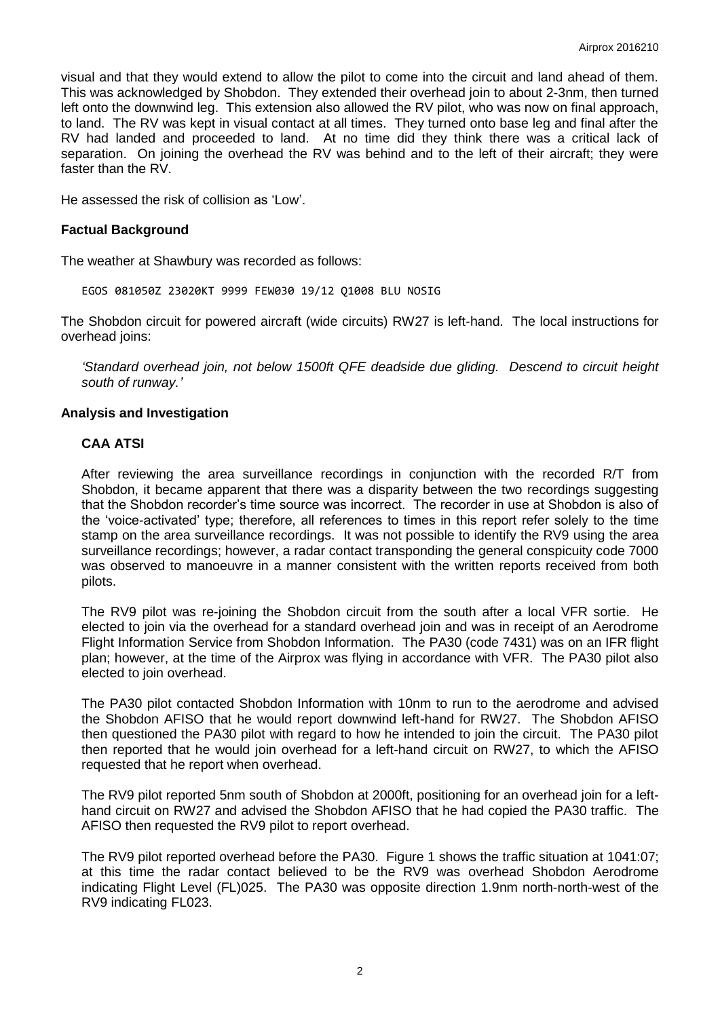visual and that they would extend to allow the pilot to come into the circuit and land ahead of them. This was acknowledged by Shobdon. They extended their overhead join to about 2-3nm, then turned left onto the downwind leg. This extension also allowed the RV pilot, who was now on final approach, to land. The RV was kept in visual contact at all times. They turned onto base leg and final after the RV had landed and proceeded to land. At no time did they think there was a critical lack of separation. On joining the overhead the RV was behind and to the left of their aircraft; they were faster than the RV.

He assessed the risk of collision as 'Low'.

### **Factual Background**

The weather at Shawbury was recorded as follows:

EGOS 081050Z 23020KT 9999 FEW030 19/12 Q1008 BLU NOSIG

The Shobdon circuit for powered aircraft (wide circuits) RW27 is left-hand. The local instructions for overhead joins:

*'Standard overhead join, not below 1500ft QFE deadside due gliding. Descend to circuit height south of runway.'*

#### **Analysis and Investigation**

# **CAA ATSI**

After reviewing the area surveillance recordings in conjunction with the recorded R/T from Shobdon, it became apparent that there was a disparity between the two recordings suggesting that the Shobdon recorder's time source was incorrect. The recorder in use at Shobdon is also of the 'voice-activated' type; therefore, all references to times in this report refer solely to the time stamp on the area surveillance recordings. It was not possible to identify the RV9 using the area surveillance recordings; however, a radar contact transponding the general conspicuity code 7000 was observed to manoeuvre in a manner consistent with the written reports received from both pilots.

The RV9 pilot was re-joining the Shobdon circuit from the south after a local VFR sortie. He elected to join via the overhead for a standard overhead join and was in receipt of an Aerodrome Flight Information Service from Shobdon Information. The PA30 (code 7431) was on an IFR flight plan; however, at the time of the Airprox was flying in accordance with VFR. The PA30 pilot also elected to join overhead.

The PA30 pilot contacted Shobdon Information with 10nm to run to the aerodrome and advised the Shobdon AFISO that he would report downwind left-hand for RW27. The Shobdon AFISO then questioned the PA30 pilot with regard to how he intended to join the circuit. The PA30 pilot then reported that he would join overhead for a left-hand circuit on RW27, to which the AFISO requested that he report when overhead.

The RV9 pilot reported 5nm south of Shobdon at 2000ft, positioning for an overhead join for a lefthand circuit on RW27 and advised the Shobdon AFISO that he had copied the PA30 traffic. The AFISO then requested the RV9 pilot to report overhead.

The RV9 pilot reported overhead before the PA30. Figure 1 shows the traffic situation at 1041:07; at this time the radar contact believed to be the RV9 was overhead Shobdon Aerodrome indicating Flight Level (FL)025. The PA30 was opposite direction 1.9nm north-north-west of the RV9 indicating FL023.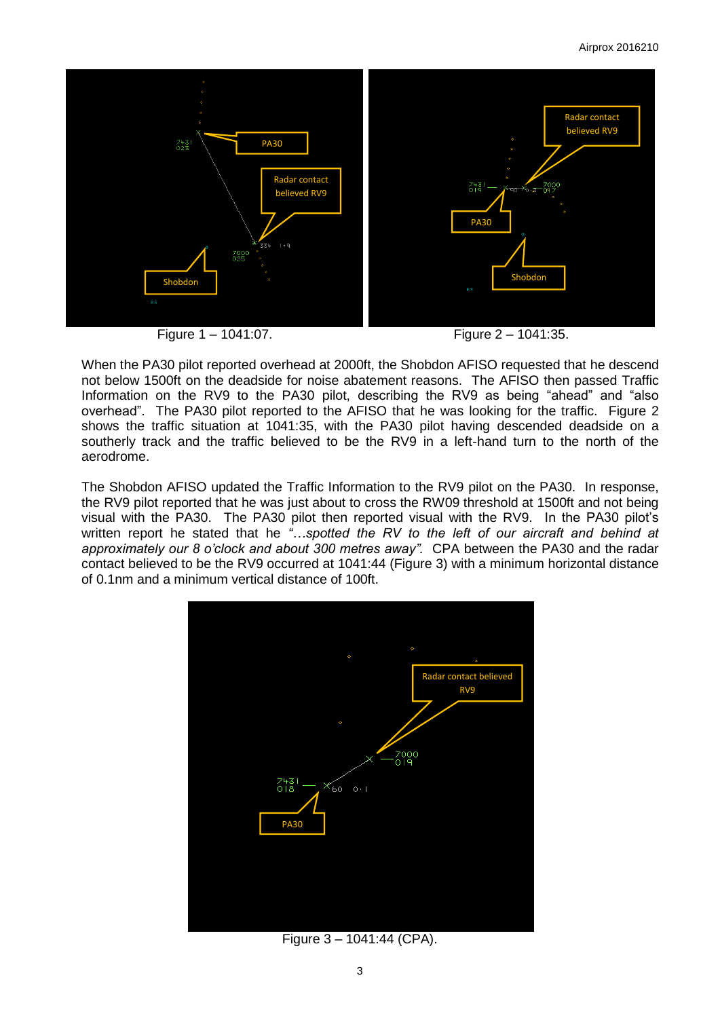

When the PA30 pilot reported overhead at 2000ft, the Shobdon AFISO requested that he descend not below 1500ft on the deadside for noise abatement reasons. The AFISO then passed Traffic Information on the RV9 to the PA30 pilot, describing the RV9 as being "ahead" and "also overhead". The PA30 pilot reported to the AFISO that he was looking for the traffic. Figure 2 shows the traffic situation at 1041:35, with the PA30 pilot having descended deadside on a southerly track and the traffic believed to be the RV9 in a left-hand turn to the north of the aerodrome.

The Shobdon AFISO updated the Traffic Information to the RV9 pilot on the PA30. In response, the RV9 pilot reported that he was just about to cross the RW09 threshold at 1500ft and not being visual with the PA30. The PA30 pilot then reported visual with the RV9. In the PA30 pilot's written report he stated that he *"…spotted the RV to the left of our aircraft and behind at approximately our 8 o'clock and about 300 metres away".* CPA between the PA30 and the radar contact believed to be the RV9 occurred at 1041:44 (Figure 3) with a minimum horizontal distance of 0.1nm and a minimum vertical distance of 100ft.



Figure 3 – 1041:44 (CPA).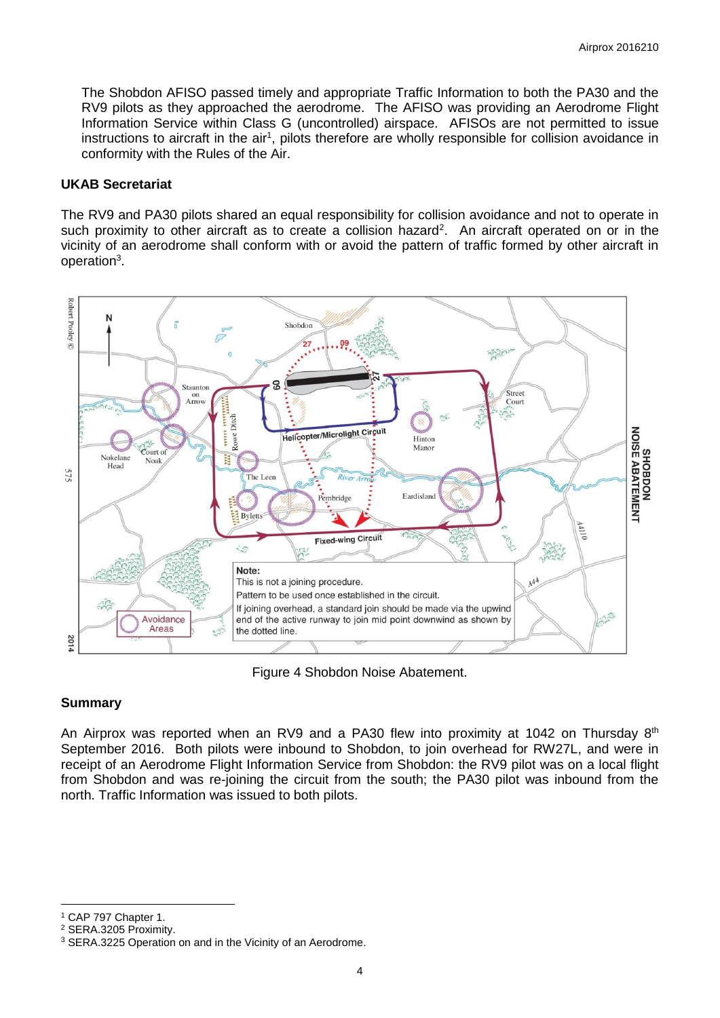The Shobdon AFISO passed timely and appropriate Traffic Information to both the PA30 and the RV9 pilots as they approached the aerodrome. The AFISO was providing an Aerodrome Flight Information Service within Class G (uncontrolled) airspace. AFISOs are not permitted to issue instructions to aircraft in the air<sup>1</sup>, pilots therefore are wholly responsible for collision avoidance in conformity with the Rules of the Air.

### **UKAB Secretariat**

The RV9 and PA30 pilots shared an equal responsibility for collision avoidance and not to operate in such proximity to other aircraft as to create a collision hazard<sup>2</sup>. An aircraft operated on or in the vicinity of an aerodrome shall conform with or avoid the pattern of traffic formed by other aircraft in operation<sup>3</sup>.



Figure 4 Shobdon Noise Abatement.

## **Summary**

An Airprox was reported when an RV9 and a PA30 flew into proximity at 1042 on Thursday  $8<sup>th</sup>$ September 2016. Both pilots were inbound to Shobdon, to join overhead for RW27L, and were in receipt of an Aerodrome Flight Information Service from Shobdon: the RV9 pilot was on a local flight from Shobdon and was re-joining the circuit from the south; the PA30 pilot was inbound from the north. Traffic Information was issued to both pilots.

 $\overline{a}$ 

<sup>1</sup> CAP 797 Chapter 1.

<sup>2</sup> SERA.3205 Proximity.

<sup>&</sup>lt;sup>3</sup> SERA.3225 Operation on and in the Vicinity of an Aerodrome.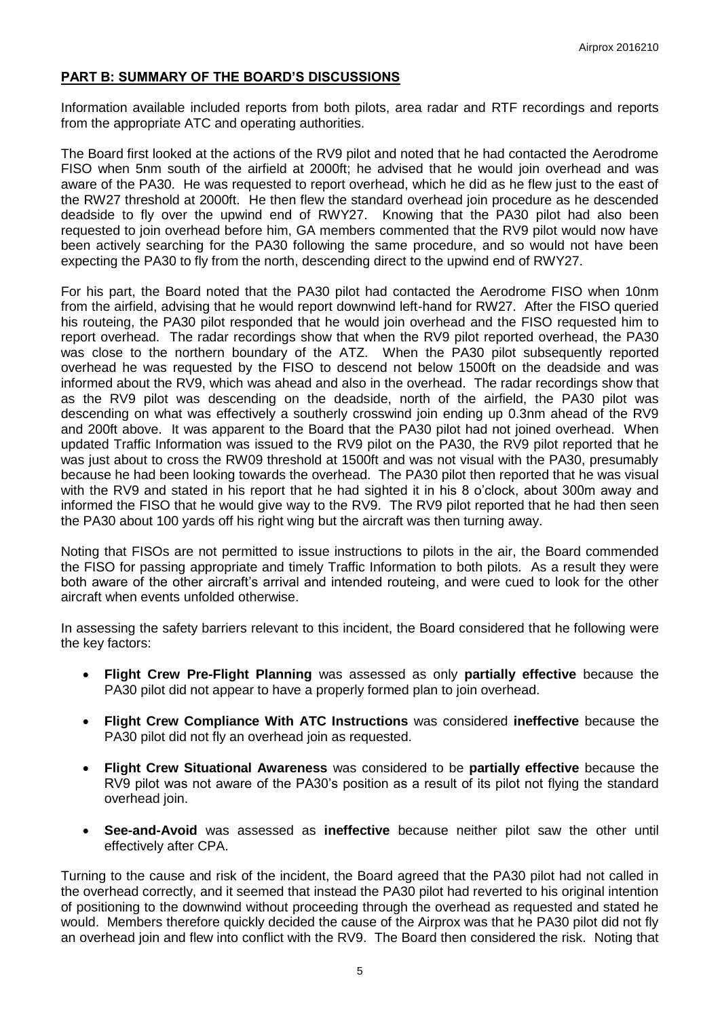# **PART B: SUMMARY OF THE BOARD'S DISCUSSIONS**

Information available included reports from both pilots, area radar and RTF recordings and reports from the appropriate ATC and operating authorities.

The Board first looked at the actions of the RV9 pilot and noted that he had contacted the Aerodrome FISO when 5nm south of the airfield at 2000ft; he advised that he would join overhead and was aware of the PA30. He was requested to report overhead, which he did as he flew just to the east of the RW27 threshold at 2000ft. He then flew the standard overhead join procedure as he descended deadside to fly over the upwind end of RWY27. Knowing that the PA30 pilot had also been requested to join overhead before him, GA members commented that the RV9 pilot would now have been actively searching for the PA30 following the same procedure, and so would not have been expecting the PA30 to fly from the north, descending direct to the upwind end of RWY27.

For his part, the Board noted that the PA30 pilot had contacted the Aerodrome FISO when 10nm from the airfield, advising that he would report downwind left-hand for RW27. After the FISO queried his routeing, the PA30 pilot responded that he would join overhead and the FISO requested him to report overhead. The radar recordings show that when the RV9 pilot reported overhead, the PA30 was close to the northern boundary of the ATZ. When the PA30 pilot subsequently reported overhead he was requested by the FISO to descend not below 1500ft on the deadside and was informed about the RV9, which was ahead and also in the overhead. The radar recordings show that as the RV9 pilot was descending on the deadside, north of the airfield, the PA30 pilot was descending on what was effectively a southerly crosswind join ending up 0.3nm ahead of the RV9 and 200ft above. It was apparent to the Board that the PA30 pilot had not joined overhead. When updated Traffic Information was issued to the RV9 pilot on the PA30, the RV9 pilot reported that he was just about to cross the RW09 threshold at 1500ft and was not visual with the PA30, presumably because he had been looking towards the overhead. The PA30 pilot then reported that he was visual with the RV9 and stated in his report that he had sighted it in his 8 o'clock, about 300m away and informed the FISO that he would give way to the RV9. The RV9 pilot reported that he had then seen the PA30 about 100 yards off his right wing but the aircraft was then turning away.

Noting that FISOs are not permitted to issue instructions to pilots in the air, the Board commended the FISO for passing appropriate and timely Traffic Information to both pilots. As a result they were both aware of the other aircraft's arrival and intended routeing, and were cued to look for the other aircraft when events unfolded otherwise.

In assessing the safety barriers relevant to this incident, the Board considered that he following were the key factors:

- **Flight Crew Pre-Flight Planning** was assessed as only **partially effective** because the PA30 pilot did not appear to have a properly formed plan to join overhead.
- **Flight Crew Compliance With ATC Instructions** was considered **ineffective** because the PA30 pilot did not fly an overhead join as requested.
- **Flight Crew Situational Awareness** was considered to be **partially effective** because the RV9 pilot was not aware of the PA30's position as a result of its pilot not flying the standard overhead join.
- **See-and-Avoid** was assessed as **ineffective** because neither pilot saw the other until effectively after CPA.

Turning to the cause and risk of the incident, the Board agreed that the PA30 pilot had not called in the overhead correctly, and it seemed that instead the PA30 pilot had reverted to his original intention of positioning to the downwind without proceeding through the overhead as requested and stated he would. Members therefore quickly decided the cause of the Airprox was that he PA30 pilot did not fly an overhead join and flew into conflict with the RV9. The Board then considered the risk. Noting that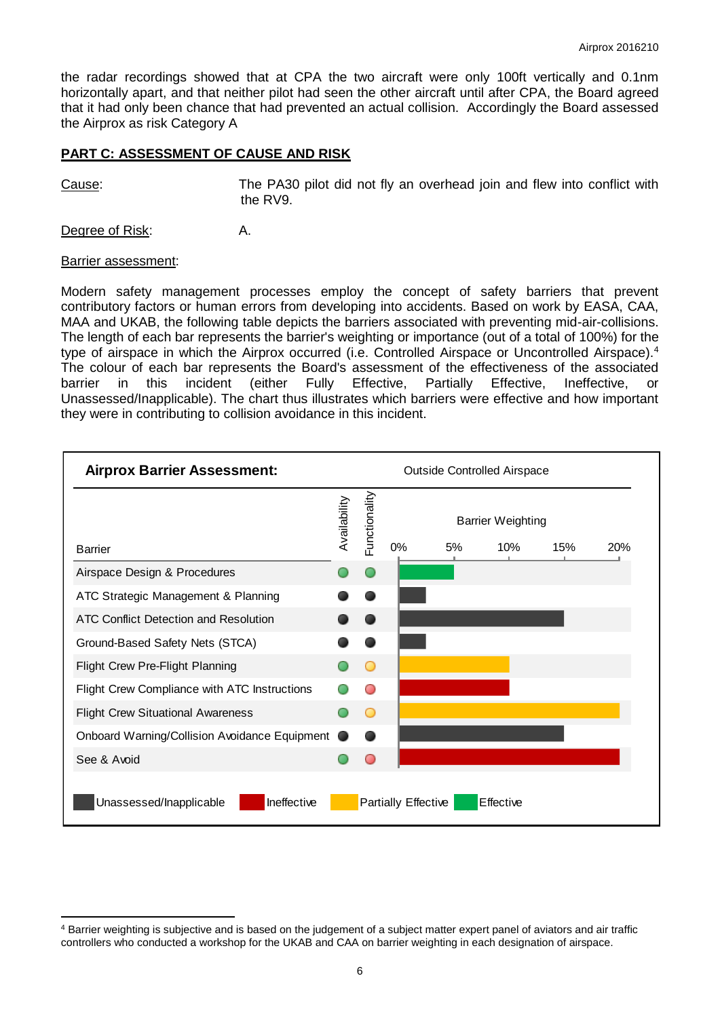the radar recordings showed that at CPA the two aircraft were only 100ft vertically and 0.1nm horizontally apart, and that neither pilot had seen the other aircraft until after CPA, the Board agreed that it had only been chance that had prevented an actual collision. Accordingly the Board assessed the Airprox as risk Category A

## **PART C: ASSESSMENT OF CAUSE AND RISK**

Cause: The PA30 pilot did not fly an overhead join and flew into conflict with the RV9.

Degree of Risk: A.

#### Barrier assessment:

Modern safety management processes employ the concept of safety barriers that prevent contributory factors or human errors from developing into accidents. Based on work by EASA, CAA, MAA and UKAB, the following table depicts the barriers associated with preventing mid-air-collisions. The length of each bar represents the barrier's weighting or importance (out of a total of 100%) for the type of airspace in which the Airprox occurred (i.e. Controlled Airspace or Uncontrolled Airspace).<sup>4</sup> The colour of each bar represents the Board's assessment of the effectiveness of the associated barrier in this incident (either Fully Effective, Partially Effective, Ineffective, or Unassessed/Inapplicable). The chart thus illustrates which barriers were effective and how important they were in contributing to collision avoidance in this incident.



 $\overline{\phantom{a}}$ <sup>4</sup> Barrier weighting is subjective and is based on the judgement of a subject matter expert panel of aviators and air traffic controllers who conducted a workshop for the UKAB and CAA on barrier weighting in each designation of airspace.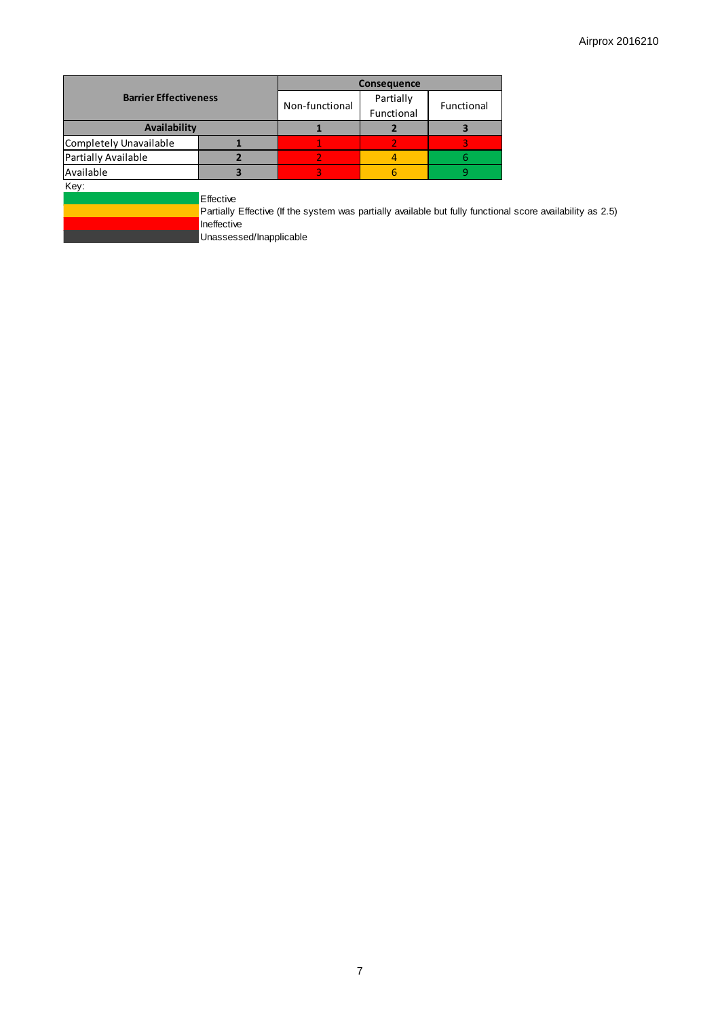|                              |                                                     | <b>Consequence</b>                                                                                         |                                       |   |  |
|------------------------------|-----------------------------------------------------|------------------------------------------------------------------------------------------------------------|---------------------------------------|---|--|
| <b>Barrier Effectiveness</b> |                                                     | Non-functional                                                                                             | Partially<br>Functional<br>Functional |   |  |
| Availability                 |                                                     |                                                                                                            |                                       |   |  |
| Completely Unavailable       |                                                     |                                                                                                            | 2                                     |   |  |
| Partially Available          |                                                     |                                                                                                            | 4                                     | 6 |  |
| Available                    |                                                     | 3                                                                                                          | 6                                     | ٩ |  |
| Key:                         | Effective<br>Ineffective<br>Unassessed/Inapplicable | Partially Effective (If the system was partially available but fully functional score availability as 2.5) |                                       |   |  |